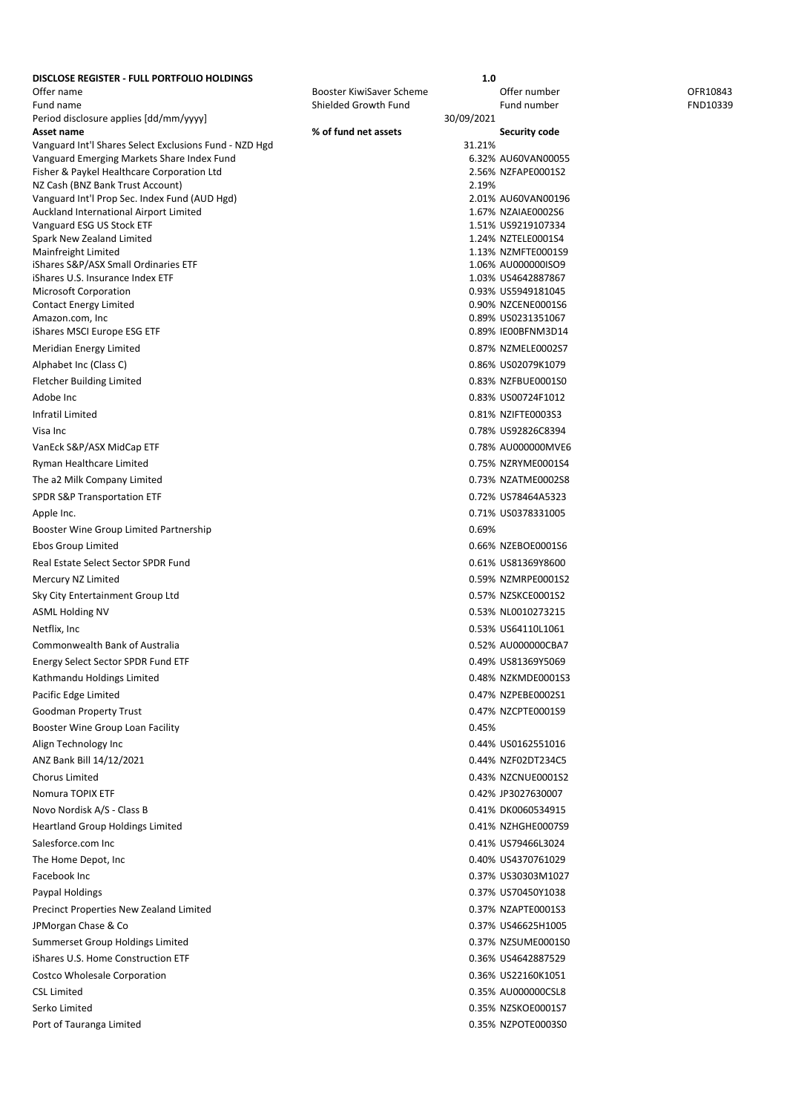| DISCLOSE REGISTER - FULL PORTFOLIO HOLDINGS                         |                          | 1.0        |                                          |          |
|---------------------------------------------------------------------|--------------------------|------------|------------------------------------------|----------|
| Offer name                                                          | Booster KiwiSaver Scheme |            | Offer number                             | OFR10843 |
| Fund name                                                           | Shielded Growth Fund     |            | Fund number                              | FND10339 |
| Period disclosure applies [dd/mm/yyyy]<br>Asset name                | % of fund net assets     | 30/09/2021 | <b>Security code</b>                     |          |
| Vanguard Int'l Shares Select Exclusions Fund - NZD Hgd              |                          | 31.21%     |                                          |          |
| Vanguard Emerging Markets Share Index Fund                          |                          |            | 6.32% AU60VAN00055                       |          |
| Fisher & Paykel Healthcare Corporation Ltd                          |                          |            | 2.56% NZFAPE0001S2                       |          |
| NZ Cash (BNZ Bank Trust Account)                                    |                          | 2.19%      |                                          |          |
| Vanguard Int'l Prop Sec. Index Fund (AUD Hgd)                       |                          |            | 2.01% AU60VAN00196<br>1.67% NZAIAE0002S6 |          |
| Auckland International Airport Limited<br>Vanguard ESG US Stock ETF |                          |            | 1.51% US9219107334                       |          |
| Spark New Zealand Limited                                           |                          |            | 1.24% NZTELE0001S4                       |          |
| Mainfreight Limited                                                 |                          |            | 1.13% NZMFTE0001S9                       |          |
| iShares S&P/ASX Small Ordinaries ETF                                |                          |            | 1.06% AU000000ISO9                       |          |
| iShares U.S. Insurance Index ETF                                    |                          |            | 1.03% US4642887867                       |          |
| Microsoft Corporation<br><b>Contact Energy Limited</b>              |                          |            | 0.93% US5949181045<br>0.90% NZCENE0001S6 |          |
| Amazon.com, Inc                                                     |                          |            | 0.89% US0231351067                       |          |
| iShares MSCI Europe ESG ETF                                         |                          |            | 0.89% IE00BFNM3D14                       |          |
| Meridian Energy Limited                                             |                          |            | 0.87% NZMELE0002S7                       |          |
| Alphabet Inc (Class C)                                              |                          |            | 0.86% US02079K1079                       |          |
| <b>Fletcher Building Limited</b>                                    |                          |            | 0.83% NZFBUE0001S0                       |          |
| Adobe Inc                                                           |                          |            | 0.83% US00724F1012                       |          |
| Infratil Limited                                                    |                          |            | 0.81% NZIFTE0003S3                       |          |
| Visa Inc                                                            |                          |            | 0.78% US92826C8394                       |          |
| VanEck S&P/ASX MidCap ETF                                           |                          |            | 0.78% AU000000MVE6                       |          |
| Ryman Healthcare Limited                                            |                          |            | 0.75% NZRYME0001S4                       |          |
| The a2 Milk Company Limited                                         |                          |            | 0.73% NZATME0002S8                       |          |
| SPDR S&P Transportation ETF                                         |                          |            | 0.72% US78464A5323                       |          |
| Apple Inc.                                                          |                          |            | 0.71% US0378331005                       |          |
| Booster Wine Group Limited Partnership                              |                          | 0.69%      |                                          |          |
| Ebos Group Limited                                                  |                          |            | 0.66% NZEBOE0001S6                       |          |
| Real Estate Select Sector SPDR Fund                                 |                          |            | 0.61% US81369Y8600                       |          |
| Mercury NZ Limited                                                  |                          |            | 0.59% NZMRPE0001S2                       |          |
| Sky City Entertainment Group Ltd                                    |                          |            | 0.57% NZSKCE0001S2                       |          |
| <b>ASML Holding NV</b>                                              |                          |            | 0.53% NL0010273215                       |          |
| Netflix, Inc                                                        |                          |            | 0.53% US64110L1061                       |          |
| Commonwealth Bank of Australia                                      |                          |            | 0.52% AU000000CBA7                       |          |
| Energy Select Sector SPDR Fund ETF                                  |                          |            | 0.49% US81369Y5069                       |          |
| Kathmandu Holdings Limited                                          |                          |            | 0.48% NZKMDE0001S3                       |          |
| Pacific Edge Limited                                                |                          |            | 0.47% NZPEBE0002S1                       |          |
| Goodman Property Trust                                              |                          |            | 0.47% NZCPTE0001S9                       |          |
| Booster Wine Group Loan Facility                                    |                          | 0.45%      |                                          |          |
| Align Technology Inc                                                |                          |            | 0.44% US0162551016                       |          |
| ANZ Bank Bill 14/12/2021                                            |                          |            | 0.44% NZF02DT234C5                       |          |
| Chorus Limited                                                      |                          |            | 0.43% NZCNUE0001S2                       |          |
| Nomura TOPIX ETF                                                    |                          |            | 0.42% JP3027630007                       |          |
| Novo Nordisk A/S - Class B                                          |                          |            | 0.41% DK0060534915                       |          |
| <b>Heartland Group Holdings Limited</b>                             |                          |            | 0.41% NZHGHE0007S9                       |          |
| Salesforce.com Inc                                                  |                          |            | 0.41% US79466L3024                       |          |
| The Home Depot, Inc.                                                |                          |            | 0.40% US4370761029                       |          |
| Facebook Inc                                                        |                          |            | 0.37% US30303M1027                       |          |
| Paypal Holdings                                                     |                          |            | 0.37% US70450Y1038                       |          |
| Precinct Properties New Zealand Limited                             |                          |            | 0.37% NZAPTE0001S3                       |          |
| JPMorgan Chase & Co                                                 |                          |            | 0.37% US46625H1005                       |          |
| Summerset Group Holdings Limited                                    |                          |            | 0.37% NZSUME0001S0                       |          |
| iShares U.S. Home Construction ETF                                  |                          |            | 0.36% US4642887529                       |          |
| Costco Wholesale Corporation                                        |                          |            | 0.36% US22160K1051                       |          |
| <b>CSL Limited</b>                                                  |                          |            | 0.35% AU000000CSL8                       |          |
| Serko Limited                                                       |                          |            | 0.35% NZSKOE0001S7                       |          |
| Port of Tauranga Limited                                            |                          |            | 0.35% NZPOTE0003S0                       |          |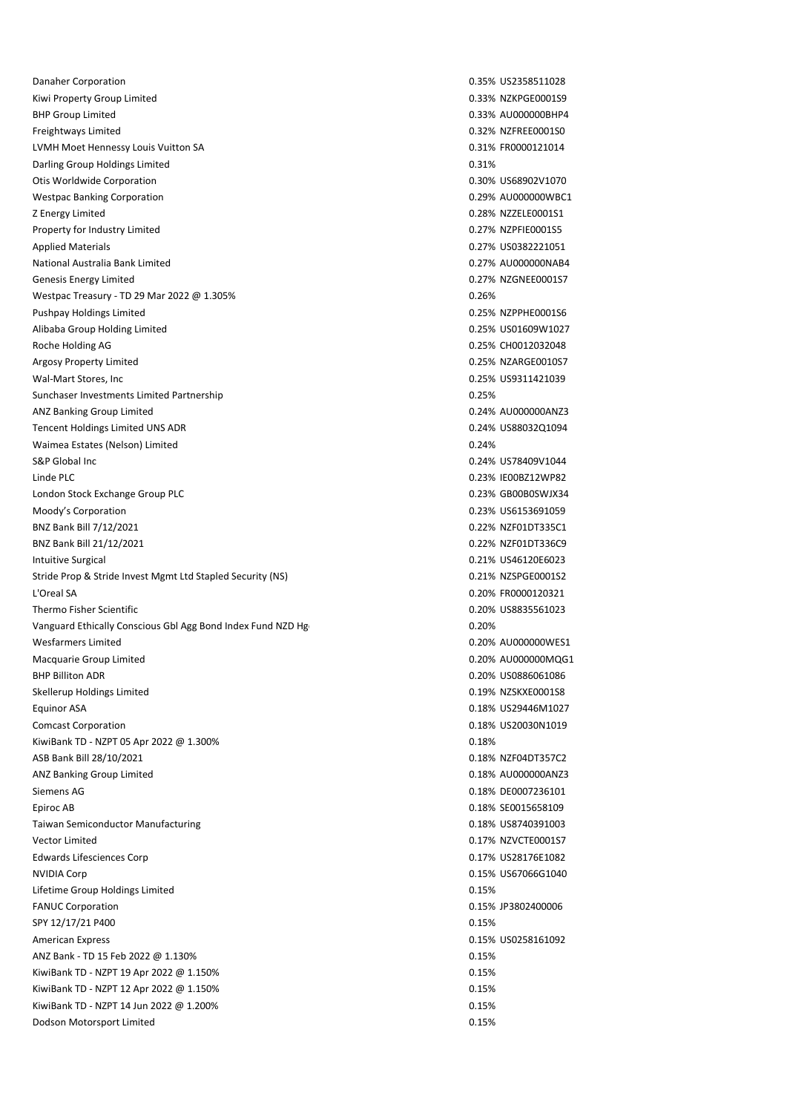Danaher Corporation 0.35% US2358511028 Kiwi Property Group Limited **Case 2.033 NZKPGE0001S9** 0.33% NZKPGE0001S9 BHP Group Limited **Data Controllers** C.33% AU000000BHP4 Freightways Limited 0.32% NZFREE0001S0 LVMH Moet Hennessy Louis Vuitton SA 0.31% FR0000121014 Darling Group Holdings Limited 0.31% and 0.31% of the United 0.31% of the United 0.31% of the United 0.31% of the U Otis Worldwide Corporation **0.30% US68902V1070** 0.30% US68902V1070 Westpac Banking Corporation and the compact of the control of the control of the control of the control of the control of the control of the control of the control of the control of the control of the control of the contro Z Energy Limited **2.28% N2ZELE0001S1** Property for Industry Limited **1.28 and 2.28 and 2.28 and 2.27% NZPFIE0001S5** Property for Industry Limited **1.28 and 2.28 and 2.28 and 2.28 and 2.28 and 2.28 and 2.28 and 2.28 and 2.28 and 2.28 and 2.28 and 2.28 and 2.28** Applied Materials 0.27% US0382221051 National Australia Bank Limited **0.27% AU000000NAB4** Genesis Energy Limited **6.27% NZGNEE0001S7** Capacity Control of the United Capacity Control of the United Capacity Control of the United Capacity Control of the United Capacity Control of the United Capacity Control of the Westpac Treasury - TD 29 Mar 2022 @ 1.305% 0.26% 0.26% 0.26% 0.26% Pushpay Holdings Limited **Development Controllers** CO25% NZPPHE0001S6 Alibaba Group Holding Limited **1.25% US01609W1027 1.25% US01609W1027** Roche Holding AG 0.25% CH0012032048 Argosy Property Limited **Argosy Property Limited CALC 25% NZARGE0010S7** Wal-Mart Stores, Inc 0.25% US9311421039 Sunchaser Investments Limited Partnership 0.25% ANZ Banking Group Limited **AU** and the control of the control of the control of the control of the control of the control of the control of the control of the control of the control of the control of the control of the con Tencent Holdings Limited UNS ADR 0.24% US88032Q1094 Waimea Estates (Nelson) Limited **0.24%** 0.24% S&P Global Inc 0.24% US78409V1044 Linde PLC 0.23% IE00BZ12WP82 London Stock Exchange Group PLC and the Control of the Control of the Control of the Control of the Control of the Control of the Control of the Control of the Control of the Control of the Control of the Control of the Co Moody's Corporation 0.23% US6153691059 BNZ Bank Bill 7/12/2021 0.22% NZF01DT335C1 BNZ Bank Bill 21/12/2021 0.22% NZF01DT336C9 Intuitive Surgical 0.21% US46120E6023 Stride Prop & Stride Invest Mgmt Ltd Stapled Security (NS) 6.21% NZSPGE0001S2 L'Oreal SA 0.20% FR0000120321 Thermo Fisher Scientific **Calculation Controller Scientific** Capcital Controller Controller Controller Controller Controller Controller Controller Controller Controller Controller Controller Controller Controller Controlle Vanguard Ethically Conscious Gbl Agg Bond Index Fund NZD Hg 0.20% 0.20% Wesfarmers Limited 0.20% AU000000WES1 Macquarie Group Limited **Macquarie Group Limited** 0.20% AU000000MQG1 BHP Billiton ADR 0.20% US0886061086 Skellerup Holdings Limited **1.1999 1.1999 1.1999 1.1999 1.1999 1.1999 1.1999 1.1999 1.1999 1.1999 1.1999 1.1999** Equinor ASA 0.18% US29446M1027 Comcast Corporation 0.18% US20030N1019 KiwiBank TD - NZPT 05 Apr 2022 @ 1.300% 0.18% 0.18% 0.18% 0.18% ASB Bank Bill 28/10/2021 2013 2014 12:00 12:00 12:00 12:00 12:00 12:00 12:00 12:00 12:00 12:00 12:00 12:00 12:0 ANZ Banking Group Limited **AU** and the control of the control of the control of the control of the control of the control of the control of the control of the control of the control of the control of the control of the con Siemens AG 0.18% DE0007236101 Epiroc AB 0.18% SE0015658109 Taiwan Semiconductor Manufacturing 1.18% US8740391003 Vector Limited 0.17% NZVCTE0001S7 Edwards Lifesciences Corp 0.17% US28176E1082 NVIDIA Corp 0.15% US67066G1040 Lifetime Group Holdings Limited **0.15%** 0.15% FANUC Corporation 0.15% JP3802400006 SPY 12/17/21 P400 0.15% 0.15% American Express 2015 120 Material Contract of the US0258161092 Material Contract of the US0258161092 ANZ Bank - TD 15 Feb 2022 @ 1.130% 0.15% 0.15% 0.15% 0.15% 0.15% 0.15% 0.15% 0.15% 0.15% 0.15% 0.15% 0.15% 0.15% KiwiBank TD - NZPT 19 Apr 2022 @ 1.150% 0.15% 0.15% 0.15% 0.15% 0.15% 0.15% 0.15% 0.15% 0.15% 0.15% 0.15% 0.15 KiwiBank TD - NZPT 12 Apr 2022 @ 1.150% 0.15% 0.15% 0.15% 0.15% 0.15% 0.15% 0.15% 0.15% 0.15% 0.15% 0.15% 0.15 KiwiBank TD - NZPT 14 Jun 2022 @ 1.200% 0.15% **Dodson Motorsport Limited 0.15% and 2.15% and 2.15% and 2.15% and 2.15% and 2.15% and 2.15% and 2.15% and 2.15% and 2.15% and 2.15% and 2.15% and 2.15% and 2.15% and 2.15% and 2.15% and 2.15% and 2.15% and 2.15% and 2.15%**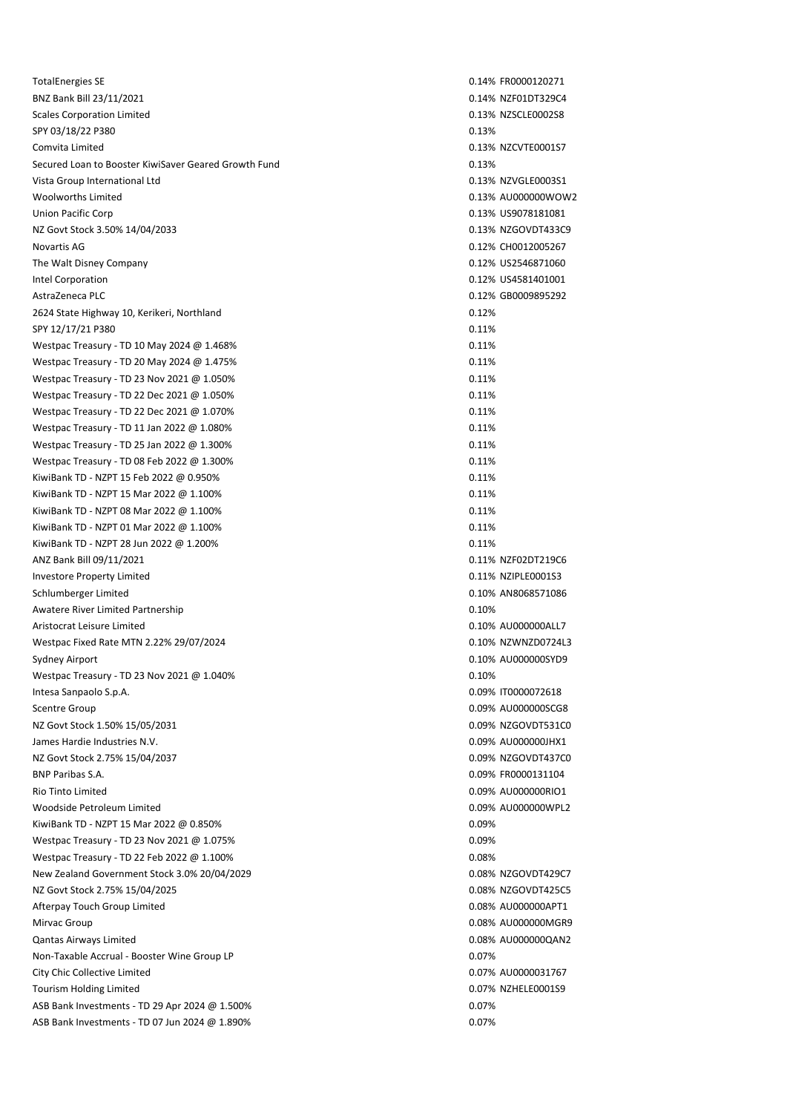TotalEnergies SE 0.14% FR0000120271 BNZ Bank Bill 23/11/2021 0.14% NZF01DT329C4 Scales Corporation Limited **0.13% NZSCLE0002S8** SPY 03/18/22 P380 0.13% 0.13% Comvita Limited 0.13% NZCVTE0001S7 Secured Loan to Booster KiwiSaver Geared Growth Fund 0.13% Vista Group International Ltd 0.13% NZVGLE0003S1 Woolworths Limited 0.13% AU000000WOW2 Union Pacific Corp 0.13% US9078181081 NZ Govt Stock 3.50% 14/04/2033 0.13% NZGOVDT433C9 Novartis AG 0.12% CH0012005267 The Walt Disney Company 0.12% US2546871060 Intel Corporation 0.12% US4581401001 AstraZeneca PLC 0.12% GB0009895292 2624 State Highway 10, Kerikeri, Northland 0.12% SPY 12/17/21 P380 0.11% 0.11% 0.11% 0.11% 0.11% 0.11% 0.11% 0.11% 0.11% 0.11% 0.11% 0.11% 0.11% 0.11% 0.11% 0.11% Westpac Treasury - TD 10 May 2024 @ 1.468% 0.11% 0.11% 0.11% Westpac Treasury - TD 20 May 2024 @ 1.475% 0.11% 0.11% 0.11% 0.11% Westpac Treasury - TD 23 Nov 2021 @ 1.050% 0.11% 0.11% 0.11% 0.11% Westpac Treasury - TD 22 Dec 2021 @ 1.050% 0.11% 0.11% 0.11% 0.11% Westpac Treasury - TD 22 Dec 2021 @ 1.070% 0.11% 0.11% 0.11% 0.11% Westpac Treasury - TD 11 Jan 2022 @ 1.080% 0.11% 0.11% 0.11% 0.11% Westpac Treasury - TD 25 Jan 2022 @ 1.300% 0.11% 0.11% 0.11% 0.11% Westpac Treasury - TD 08 Feb 2022  $\varpi$  1.300% 0.11% 0.11% 0.11% KiwiBank TD - NZPT 15 Feb 2022 @ 0.950% 0.11% 0.11% 0.11% 0.11% KiwiBank TD - NZPT 15 Mar 2022 @ 1.100% 0.11 0.11% 0.11% 0.11% KiwiBank TD - NZPT 08 Mar 2022 @ 1.100% 0.11% 0.11% 0.11% 0.11% 0.11% KiwiBank TD - NZPT 01 Mar 2022 @ 1.100% 0.11% KiwiBank TD - NZPT 28 Jun 2022 @ 1.200% 0.11% 0.11% 0.11% 0.11% 0.11% ANZ Bank Bill 09/11/2021 2001 2012 0.11% NZF02DT219C6 Investore Property Limited 0.11% NZIPLE0001S3 Schlumberger Limited 0.10% AN8068571086 Awatere River Limited Partnership 0.10% of the United Partnership 0.10% of the United Partnership 0.10% of the U Aristocrat Leisure Limited 0.10% AU000000ALL7 Westpac Fixed Rate MTN 2.22% 29/07/2024 0.10% NZWNZD0724L3 Sydney Airport **6.10% AU000000SYD9 CONS** Westpac Treasury - TD 23 Nov 2021 @ 1.040% 0.10% 0.10% 0.10% 0.10% 0.10% Intesa Sanpaolo S.p.A. 0.09% IT0000072618 Scentre Group 0.09% AU000000SCG8 NZ Govt Stock 1.50% 15/05/2031 0.09% NZGOVDT531C0 James Hardie Industries N.V. 0.09% AU000000JHX1 NZ Govt Stock 2.75% 15/04/2037 0.09% NZGOVDT437C0 BNP Paribas S.A. 0.09% FR0000131104 Rio Tinto Limited 0.09% AU000000RIO1 Woodside Petroleum Limited 0.09% AU000000WPL2 KiwiBank TD - NZPT 15 Mar 2022 @ 0.850% 0.09% 0.09% 0.09% 0.09% 0.09% 0.09% Westpac Treasury - TD 23 Nov 2021 @ 1.075% 0.09% 0.09% 0.09% 0.09% Westpac Treasury - TD 22 Feb 2022 @  $1.100\%$  0.08% 0.08% 0.08% New Zealand Government Stock 3.0% 20/04/2029 0.08% 0.08% 0.08% NZGOVDT429C7 NZ Govt Stock 2.75% 15/04/2025 0.08% NZGOVDT425C5 Afterpay Touch Group Limited 0.08% AU000000APT1 Mirvac Group 2008% AU0000000 MGR9 2008% AU0000000 MGR9 2008% AU0000000 MGR9 2008% AU0000000 MGR9 2008% AU0000000 MGR9 2008 2010 MG Qantas Airways Limited 0.08% AU000000QAN2 Non-Taxable Accrual - Booster Wine Group LP 0.07% City Chic Collective Limited 0.07% AU0000031767 Tourism Holding Limited **1.1 Tourism Holding Limited** 0.07% NZHELE0001S9 ASB Bank Investments - TD 29 Apr 2024 @ 1.500% 0.07% 0.07% 0.07% 0.07% ASB Bank Investments - TD 07 Jun 2024 @ 1.890% 0.07% 0.07% 0.07% 0.07%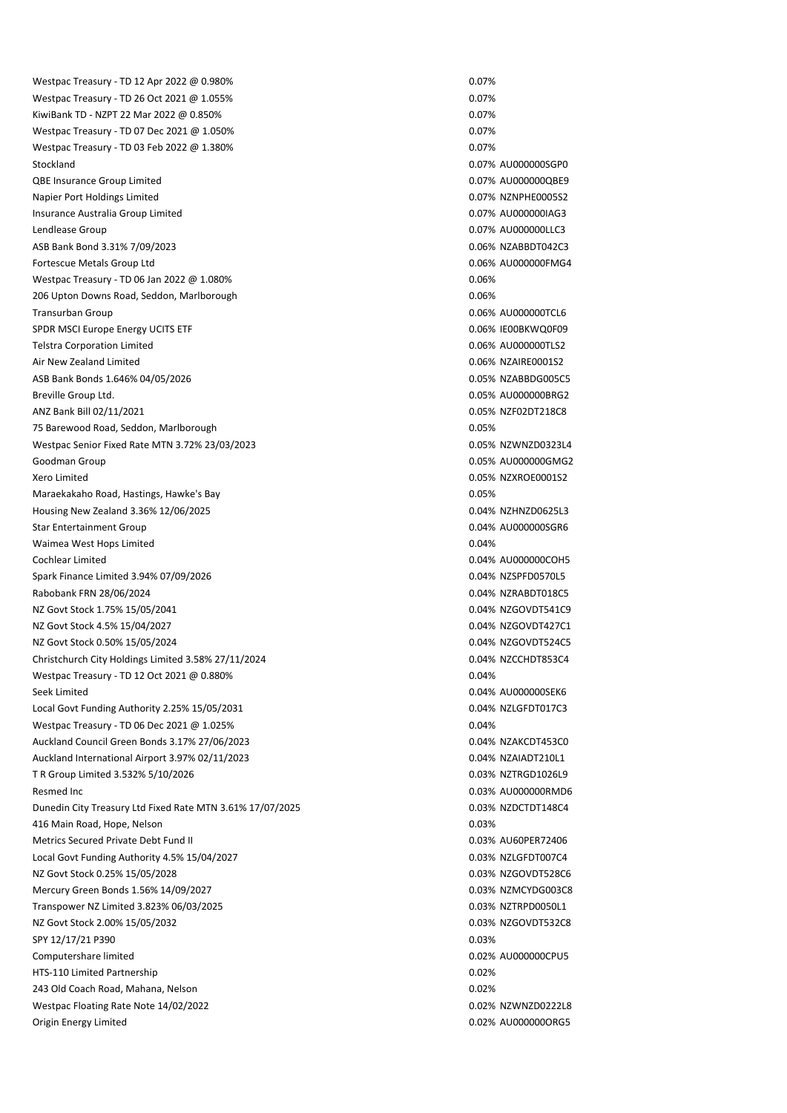Westpac Treasury - TD 12 Apr 2022 @ 0.980% 0.07% 0.07% 0.07% 0.07% 0.07% Westpac Treasury - TD 26 Oct 2021 @ 1.055% 0.07% 0.07% 0.07% 0.07% 0.07% KiwiBank TD - NZPT 22 Mar 2022 @ 0.850% 0.07% 0.07% 0.07% 0.07% 0.07% 0.07% Westpac Treasury - TD 07 Dec 2021 @ 1.050% 0.07% 0.07% 0.07% Westpac Treasury - TD 03 Feb 2022 @ 1.380% 0.07% 0.07% 0.07% 0.07% 0.07% Stockland 2.07% AU000000SGP0 QBE Insurance Group Limited 0.07% AU000000QBE9 Napier Port Holdings Limited **0.07%** NZNPHE0005S2 Insurance Australia Group Limited 0.07% AU000000IAG3 Lendlease Group 0.07% AU000000LLC3 ASB Bank Bond 3.31% 7/09/2023 2008 0.06% NZABBDT042C3 Fortescue Metals Group Ltd 0.06% AU000000FMG4 Westpac Treasury - TD 06 Jan 2022 @ 1.080% 0.06% 0.06% 0.06% 0.06% 0.06% 206 Upton Downs Road, Seddon, Marlborough 0.06% and 0.06% of the Ups of the Ups of the Ups of the Ups of the U Transurban Group 0.06% AU000000TCL6 SPDR MSCI Europe Energy UCITS ETF 0.06% IE00BKWQ0F09 Telstra Corporation Limited 0.06% AU000000TLS2 Air New Zealand Limited 0.06% NZAIRE0001S2 ASB Bank Bonds 1.646% 04/05/2026 0.05% NZABBDG005C5 Breville Group Ltd. 0.05% AU000000BRG2 ANZ Bank Bill 02/11/2021 2003 2004 12:00 2005 2006 2012 2020 2031 2042 2043 2049 2049 2049 2049 2049 2049 2049 75 Barewood Road, Seddon, Marlborough 0.05% Westpac Senior Fixed Rate MTN 3.72% 23/03/2023 0.05% 0.05% NZWNZD0323L4 Goodman Group 0.05% AU000000GMG2 Xero Limited 0.05% NZXROE0001S2 Maraekakaho Road, Hastings, Hawke's Bay 0.05% Housing New Zealand 3.36% 12/06/2025 0.04% NZHNZD0625L3 Star Entertainment Group 0.04% AU000000SGR6 Waimea West Hops Limited **0.04%** National Contract of the United Contract of the United Contract of the United Contract of the United Contract of the United Contract of the United Contract of the United Contract of the Uni Cochlear Limited 0.04% AU000000COH5 Spark Finance Limited 3.94% 07/09/2026 0.04% NZSPFD0570L5 Rabobank FRN 28/06/2024 **0.04% N2RABDT018C5** NZ Govt Stock 1.75% 15/05/2041 2.025 2.04% N2GOVDT541C9 NZ Govt Stock 4.5% 15/04/2027 0.04% NZGOVDT427C1 NZ Govt Stock 0.50% 15/05/2024 0.04% NZGOVDT524C5 Christchurch City Holdings Limited 3.58% 27/11/2024 0.04% NZCCHDT853C4 Westpac Treasury - TD 12 Oct 2021 @ 0.880% 0.04% 0.04% 0.04% 0.04% Seek Limited 0.04% AU000000SEK6 Local Govt Funding Authority 2.25% 15/05/2031 0.04% 0.04% NZLGFDT017C3 Westpac Treasury - TD 06 Dec 2021 @ 1.025% 0.04% 0.04% 0.04% Auckland Council Green Bonds 3.17% 27/06/2023 0.04% 0.04% NZAKCDT453C0 Auckland International Airport 3.97% 02/11/2023 0.04% 0.04% NZAIADT210L1 T R Group Limited 3.532% 5/10/2026 0.03% NZTRGD1026L9 Resmed Inc 0.03% AU000000RMD6 Dunedin City Treasury Ltd Fixed Rate MTN 3.61% 17/07/2025 0.03% 0.03% 0.03% NZDCTDT148C4 416 Main Road, Hope, Nelson 0.03% Metrics Secured Private Debt Fund II 0.03% AU60PER72406 Local Govt Funding Authority 4.5% 15/04/2027 0.03% 0.03% NZLGFDT007C4 NZ Govt Stock 0.25% 15/05/2028 0.03% NZGOVDT528C6 Mercury Green Bonds 1.56% 14/09/2027 0.03% NZMCYDG003C8 Transpower NZ Limited 3.823% 06/03/2025 0.03% NZTRPD0050L1 NZ Govt Stock 2.00% 15/05/2032 0.03% NZGOVDT532C8 SPY 12/17/21 P390 0.03% 0.03% Computershare limited 0.02% AU000000CPU5 HTS-110 Limited Partnership 0.02% 243 Old Coach Road, Mahana, Nelson 0.02% Westpac Floating Rate Note 14/02/2022 0.02% NZWNZD0222L8 Origin Energy Limited 0.02% AU000000ORG5